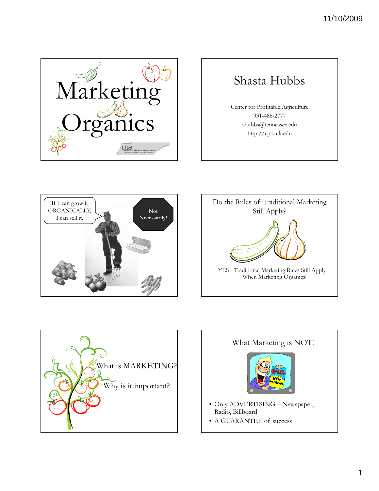

## Shasta Hubbs

Center for Profitable Agriculture 931-486-2777 shubbs@tennessee.edu http://cpa.utk.edu







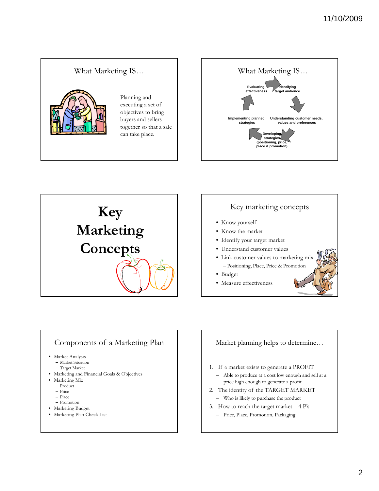





#### Key marketing concepts

- Know yourself
- Know the market
- Identify your target market
- Understand customer values
- Link customer values to marketing mix – Positioning, Place, Price & Promotion
- Budget
- Measure effectiveness

#### Components of a Marketing Plan

• Market Analysis

- Market Situation
- Target Market
- Marketing and Financial Goals & Objectives
- Marketing Mix
	- Product
	- Price
	- Place
	- Promotion
- Marketing Budget
- Marketing Plan Check List

#### Market planning helps to determine…

- 1. If a market exists to generate a PROFIT
- Able to produce at a cost low enough and sell at a price high enough to generate a profit
- 2. The identity of the TARGET MARKET – Who is likely to purchase the product
- 3. How to reach the target market  $-4$  P's
	- Price, Place, Promotion, Packaging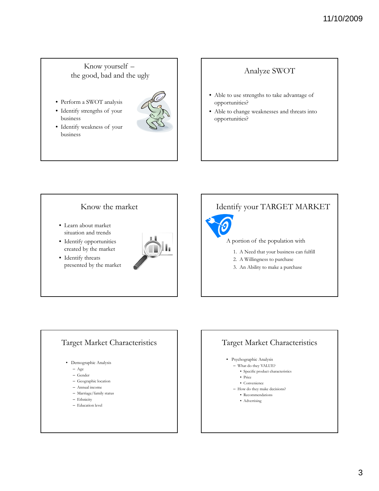#### 11/10/2009

#### Know yourself – the good, bad and the ugly

- Perform a SWOT analysis
- Identify strengths of your business
- Identify weakness of your business



#### Analyze SWOT

- Able to use strengths to take advantage of opportunities?
- Able to change weaknesses and threats into opportunities?



#### Identify your TARGET MARKET

# A portion of the population with

- 1. A Need that your business can fulfill
- 2. A Willingness to purchase
- 3. An Ability to make a purchase

#### Target Market Characteristics

- Demographic Analysis
	- Age
	- Gender
	- Geographic location
	- Annual income
	- Marriage/family status
	- Ethnicity
	- Education level

#### Target Market Characteristics • Psychographic Analysis – What do they VALUE? • Specific product characteristics • Price • Convenience

- 
- How do they make decisions? • Recommendations
	- Advertising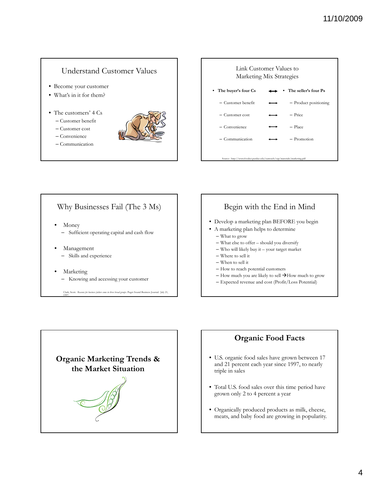#### Understand Customer Values

- Become your customer
- What's in it for them?
- The customers' 4 Cs
	- Customer benefit
	- Customer cost
	- Convenience
	- Communication





#### Why Businesses Fail (The 3 Ms)

- Money
	- Sufficient operating capital and cash flow
- Management
	- Skills and experience
- **Marketing** 
	- Knowing and accessing your customer

Clark, Scott. *Reasons for business failure come in three broad groups*. Puget Sound Business Journal. July 21, 1997.

#### Begin with the End in Mind

- Develop a marketing plan BEFORE you begin
- A marketing plan helps to determine
	- What to grow
	- $-$  What else to offer  $-$  should you diversify
	- Who will likely buy it your target market
	- Where to sell it
	- When to sell it
	- How to reach potential customers
	- How much you are likely to sell  $\rightarrow$  How much to grow
	- Expected revenue and cost (Profit/Loss Potential)



#### **Organic Food Facts**

- U.S. organic food sales have grown between 17 and 21 percent each year since 1997, to nearly triple in sales
- Total U.S. food sales over this time period have grown only 2 to 4 percent a year
- Organically produced products as milk, cheese, meats, and baby food are growing in popularity.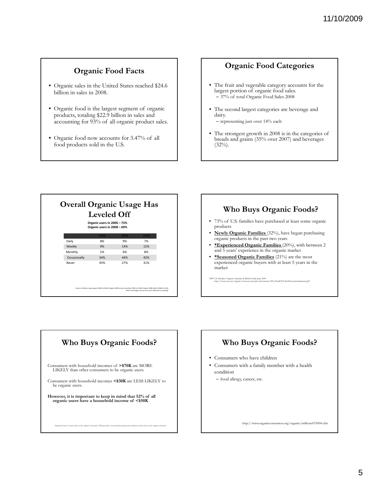#### **Organic Food Facts**

- Organic sales in the United States reached \$24.6 billion in sales in 2008.
- Organic food is the largest segment of organic products, totaling \$22.9 billion in sales and accounting for 93% of all organic product sales.
- Organic food now accounts for 3.47% of all food products sold in the U.S.

#### **Organic Food Categories**

- The fruit and vegetable category accounts for the largest portion of organic food sales. – 37% of total Organic Food Sales 2008
- The second largest categories are beverage and dairy.
	- representing just over 14% each
- The strongest growth in 2008 is in the categories of breads and grains (35% over 2007) and beverages  $(32\%)$ .

| <b>Leveled Off</b><br>Organic users in 2006 - 73%<br>Organic users in 2008 - 69% |      |      |      |
|----------------------------------------------------------------------------------|------|------|------|
|                                                                                  | 2000 | 2006 | 2008 |
| Daily                                                                            | 8%   | 9%   | 7%   |
| Weekly                                                                           | 9%   | 14%  | 12%  |
| Monthly                                                                          | 5%   | 6%   | 8%   |
| Occasionally                                                                     | 34%  | 44%  | 42%  |
| Never                                                                            | 45%  | 27%  | 31%  |
|                                                                                  |      |      |      |

#### **Who Buys Organic Foods?**

- 73% of U.S. families have purchased at least some organic products
- **Newly Organic Families** (32%), have began purchasing organic products in the past two years
- **\*Experienced Organic Families \*Experienced Organic** (20%) with between 2 (20%), with between and 5 years' experience in the organic market
- **\*Seasoned Organic Families** (21%) are the most experienced organic buyers with at least 5 years in the market

2009 U.S. Families' Organic Attitudes & Beliefs Study June 2009 http://www.ota.com/organic/www.ota.com/pics/documents/01b\_FinalOTA-KiwiExecutiveSummary.pdf

#### **Who Buys Organic Foods?**

Consumers with household incomes of **>\$70K** are MORE LIKELY than other consumers to be organic users.

Consumers with household incomes  $<\$ 30K are LESS LIKELY to be organic users.

Hartman Group "Current State of the Organic Consumer" Webinar http://www.hartman-group.com/webinar/current-state-of-the-organic-consumer

**However, it is important to keep in mind that 52% of all organic users have a household income of <\$50K**

# **Who Buys Organic Foods?** • Consumers who have children • Consumers with a family member with a health condition – food allergy, cancer, etc.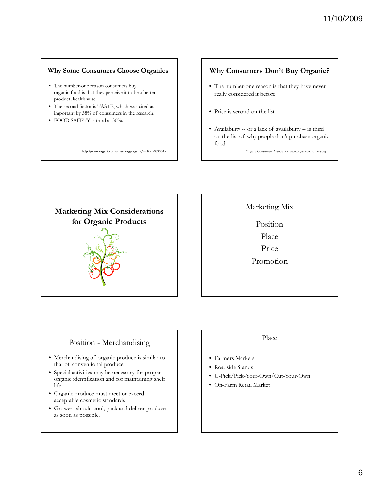#### **Why Some Consumers Choose Organics**

- The number-one reason consumers buy organic food is that they perceive it to be a better product, health wise.
- The second factor is TASTE, which was cited as important by 38% of consumers in the research.
- FOOD SAFETY is third at 30%.

http://www.organicconsumers.org/organic/millions033004.cfm

#### **Why Consumers Don't Buy Organic?**

- The number-one reason is that they have never really considered it before
- Price is second on the list
- Availability -- or a lack of availability -- is third on the list of why people don't purchase organic food

Organic Consumers Association www.organice



Marketing Mix

Position Place

Price

Promotion

#### Position - Merchandising

- Merchandising of organic produce is similar to that of conventional produce
- Special activities may be necessary for proper organic identification and for maintaining shelf life
- Organic produce must meet or exceed acceptable cosmetic standards
- Growers should cool, pack and deliver produce as soon as possible.

#### Place

- Farmers Markets
- Roadside Stands
- U-Pick/Pick-Your-Own/Cut-Your-Own
- On-Farm Retail Market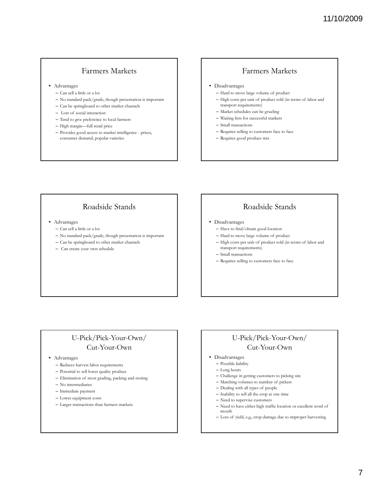#### Farmers Markets

- Advantages
	- Can sell a little or a lot
	- No standard pack/grade, though presentation is important
	- Can be springboard to other market channels
	- Lots of social interaction
	- Tend to give preference to local farmers
	- High margin—full retail price
	- Provides good access to market intelligence prices, consumer demand, popular varieties

#### Farmers Markets

- Disadvantages
	- Hard to move large volume of product
- High costs per unit of product sold (in terms of labor and transport requirements)
- Market schedules can be grueling
- Waiting lists for successful markets
- Small transactions
- Requires selling to customers face to face
- Requires good produce mix

#### Roadside Stands

- Advantages
	- Can sell a little or a lot
	- No standard pack/grade, though presentation is important
	- Can be springboard to other market channels
	- Can create your own schedule

#### Roadside Stands

- Disadvantages
	- Have to find/obtain good location
	- Hard to move large volume of product
	- High costs per unit of product sold (in terms of labor and transport requirements)
	- Small transactions
	- Requires selling to customers face to face

#### U-Pick/Pick-Your-Own/ Cut-Your-Own

#### • Advantages

- Reduces harvest labor requirements
- Potential to sell lower quality produce
- Elimination of most grading, packing and storing
- No intermediaries
- Immediate payment
- Lower equipment costs
- Larger transactions than farmers markets

#### U-Pick/Pick-Your-Own/ Cut-Your-Own

- Disadvantages
	- Possible liability
	- Long hours
	- Challenge in getting customers to picking site
	- $-$  Matching volumes to number of pickers
	- Dealing with all types of people
	- Inability to sell all the crop at one time
	- Need to supervise customers
	- Need to have either high traffic location or excellent word of mouth
	- Loss of yield, e.g., crop damage due to improper harvesting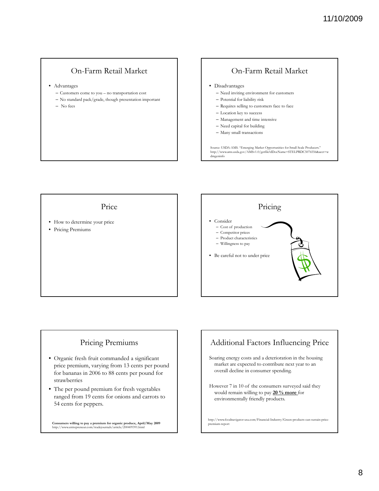#### On-Farm Retail Market

- Advantages
	- Customers come to you no transportation cost
	- No standard pack/grade, though presentation important
	- No fees

#### On-Farm Retail Market • Disadvantages – Need inviting environment for customers – Potential for liability risk – Requires selling to customers face to face – Location key to success – Management and time intensive – Need capital for building – Many small transactions Source: USDA-AMS. ''Emerging Market Opportunities for Small Scale Producers.''<br>http://www.ams.usda.gov/AMSv1.0/getfile?dDocName=STELPRDC5076556&acct=w<br>dmgeninfo

Price

- How to determine your price
- Pricing Premiums



#### Pricing Premiums

- Organic fresh fruit commanded a significant price premium, varying from 13 cents per pound for bananas in 2006 to 88 cents per pound for strawberries
- The per pound premium for fresh vegetables ranged from 19 cents for onions and carrots to 54 cents for peppers.

**Consumers willing to pay a premium for organic produce, April/May 2009** http://www.entrepreneur.com/tradejournals/article/200409391.html



Soaring energy costs and a deterioration in the housing market are expected to contribute next year to an overall decline in consumer spending.

However 7 in 10 of the consumers surveyed said they would remain willing to pay **20 % more** for environmentally friendly products.

http://www.foodnavigator-usa.com/Financial-Industry/Green-products-can-sustain-priceemium-report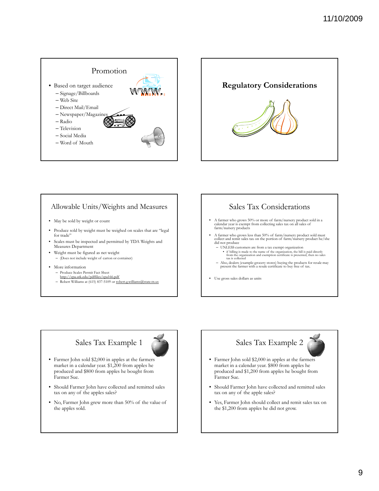



#### Allowable Units/Weights and Measures

- May be sold by weight or count
- Produce sold by weight must be weighed on scales that are "legal for trade'
- Scales must be inspected and permitted by TDA Weights and Measures Department
- Weight must be figured as net weight – (Does not include weight of carton or container)
- More information
	- Produce Scales Permit Fact Sheet http://cpa.utk.edu/pdffiles/cpa166.pdf
	- Robert Williams at (615) 837-5109 or robert.g.williams@state.tn.us

#### Sales Tax Considerations

- A farmer who grows 50% or more of farm/nursery product sold in a calendar year is exempt from collecting sales tax on all sales of farm/nursery products
- A farmer who grows less than 50% of farm/nursery product sold must collect and remit sales tax on the portion of farm/nursery product he/she did not produce
	- UNLESS customers are from a tax exempt organization • if billing is made to the name of the organization, the bill is paid directly from the organization and exemption certificate is presented, then no sales tax is collected
	- Also, dealers (example-grocery stores) buying the products for resale may present the farmer with a resale certificate to buy free of tax.
- Use gross sales dollars as units

## Sales Tax Example 1



- Farmer John sold \$2,000 in apples at the farmers market in a calendar year. \$1,200 from apples he produced and \$800 from apples he bought from Farmer Sue.
- Should Farmer John have collected and remitted sales tax on any of the apples sales?
- No, Farmer John grew more than 50% of the value of the apples sold.

### Sales Tax Example 2



- Farmer John sold \$2,000 in apples at the farmers market in a calendar year. \$800 from apples he produced and \$1,200 from apples he bought from Farmer Sue.
- Should Farmer John have collected and remitted sales tax on any of the apple sales?
- Yes, Farmer John should collect and remit sales tax on the \$1,200 from apples he did not grow.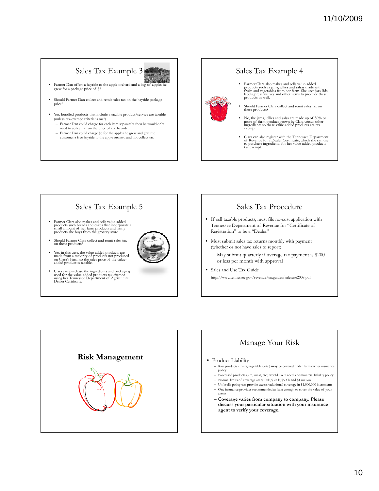## Sales Tax Example 3

Wednes • Farmer Dan offers a hayride to the apple orchard and a bag of apples he grew for a package price of \$6.

- Should Farmer Dan collect and remit sales tax on the hayride package price?
- Yes, bundled products that include a taxable product/service are taxable (unless tax-exempt criteria is met).
	- Farmer Dan could charge for each item separately, then he would only need to collect tax on the price of the hayride.
	- Farmer Dan could charge \$6 for the apples he grew and give the customer a free hayride to the apple orchard and not collect tax.

#### Sales Tax Example 4

- Farmer Clara also makes and sells value-added<br>products such as jams, jellies and salsas made with<br>fruits and vegetables from her farm. She uses jars, lids,<br>labels, preservatives and other items to produce these<br>products
- Should Farmer Clara collect and remit sales tax on these products?
- No, the jams, jellies and salsa are made up of 50% or more of farm product grown by Clara versus other ingredients so these value-added products are tax exempt.
- Clara can also register with the Tennessee Department of Revenue for a Dealer Certificate, which she can use to purchase ingredients for her value-added products tax exempt.

#### Sales Tax Example 5

- Farmer Clara also makes and sells value-added products such breads and cakes that incorporate a small amount of her farm products and many products she buys from the grocery store.
- Should Farmer Clara collect and remit sales tax on these products?
- Yes, in this case, the value-added products are made from a majority of products not produced on Clara's Farm so the sales price of the valueadded product is taxable.
- Clara can purchase the ingredients and packaging used for the value-added products tax exempt using her Tennessee Department of Agriculture Dealer Certificate.

#### Sales Tax Procedure

- If sell taxable products, must file no-cost application with Tennessee Department of Revenue for "Certificate of Registration" to be a "Dealer"
- Must submit sales tax returns monthly with payment (whether or not have sales to report)
	- May submit quarterly if average tax payment is \$200 or less per month with approval
- Sales and Use Tax Guide http://www.tennessee.gov/revenue/taxguides/salesuse2008.pdf



### Manage Your Risk

#### • Product Liability

- Raw products (fruits, vegetables, etc.) **may** be covered under farm owner insurance policy
- Processed products (jam, meat, etc.) would likely need a commercial liability policy
- $-$  Normal limits of coverage are \$100k, \$300k, \$500k and \$1 million – Umbrella policy can provide excess/additional coverage in \$1,000,000 increments
- One insurance provider recommended at least enough to cover the value of your assets
- **Coverage varies from company to company. Please discuss your particular situation with your insurance agent to verify your coverage.**